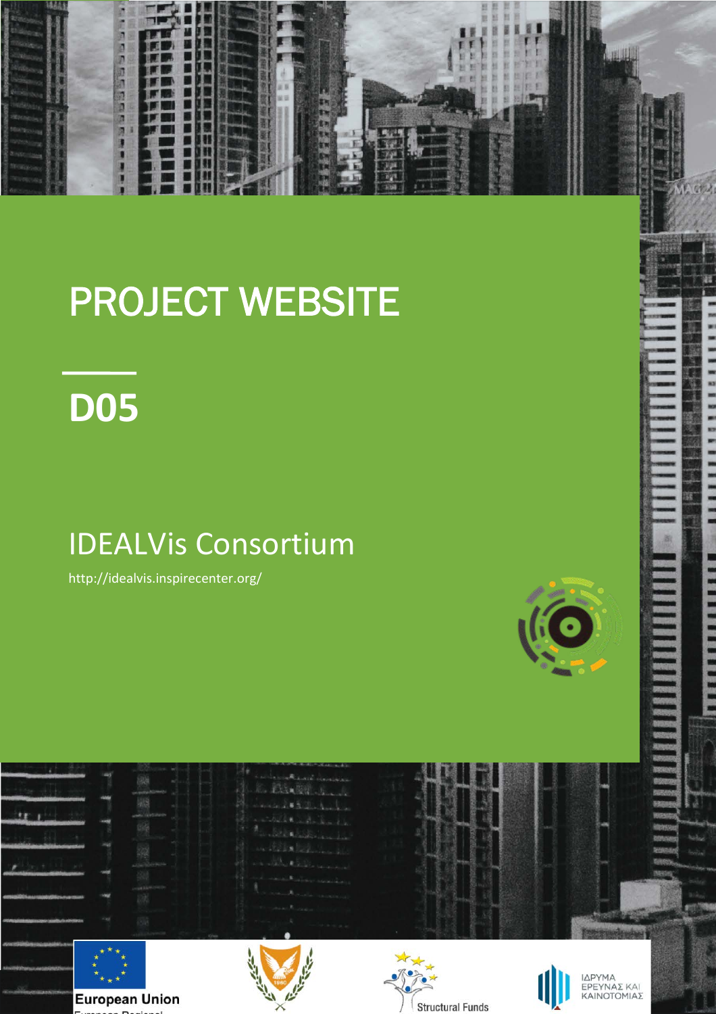

## PROJECT WEBSITE

# **D05**

## IDEALVis Consortium

http://idealvis.inspirecenter.org/



**NEW PRESSURING REPORT OF STREET** 

|                                                                     | cus like                                                              | Les Saint Lake Command<br>C. P. SARRY James<br>ment & Delmark<br>$\label{eq:2} \mathcal{L} = -\frac{1}{2} \mathcal{L} \left[ \mathcal{L} \left( \mathbf{R} \right) \right] \mathcal{L} \left( \mathbf{R} \right) \mathcal{L} \left( \mathbf{R} \right) \mathcal{L} \left( \mathbf{R} \right) \mathcal{L} \left( \mathbf{R} \right) \mathcal{L} \left( \mathbf{R} \right) \mathcal{L} \left( \mathbf{R} \right) \mathcal{L} \left( \mathbf{R} \right) \mathcal{L} \left( \mathbf{R} \right) \mathcal{L} \left( \mathbf{R} \right) \mathcal{L}$<br>The Bill Charles Lot<br>within drive in<br>and the children was and<br><b>All States Company Associations</b><br><b>All Contract Contract of Contract Contract Contract Contract Contract Contract Contract Contract Contract Contract Contract Contract Contract Contract Contract Contract Contract Contract Contract Contract Contract Contrac</b> |                         | 3933<br>3304<br>1925<br>imper<br><b>ROTUS</b><br>RESOL<br>08633 |
|---------------------------------------------------------------------|-----------------------------------------------------------------------|--------------------------------------------------------------------------------------------------------------------------------------------------------------------------------------------------------------------------------------------------------------------------------------------------------------------------------------------------------------------------------------------------------------------------------------------------------------------------------------------------------------------------------------------------------------------------------------------------------------------------------------------------------------------------------------------------------------------------------------------------------------------------------------------------------------------------------------------------------------------------------------------------------|-------------------------|-----------------------------------------------------------------|
| <b>CAK ISSUED AND CONSUMING A</b>                                   |                                                                       | of the factor is and                                                                                                                                                                                                                                                                                                                                                                                                                                                                                                                                                                                                                                                                                                                                                                                                                                                                                   |                         |                                                                 |
| citing show succuses says label to the<br><b>COMOVERED ENTIREES</b> | <b>European Union</b><br>the company of the country of the company of |                                                                                                                                                                                                                                                                                                                                                                                                                                                                                                                                                                                                                                                                                                                                                                                                                                                                                                        | <b>Structural Funds</b> | ΙΔΡΥΜΑ<br>ΕΡΕΥΝΑΣ ΚΑΙ<br>ΚΑΙΝΟΤΟΜΙΑΣ                            |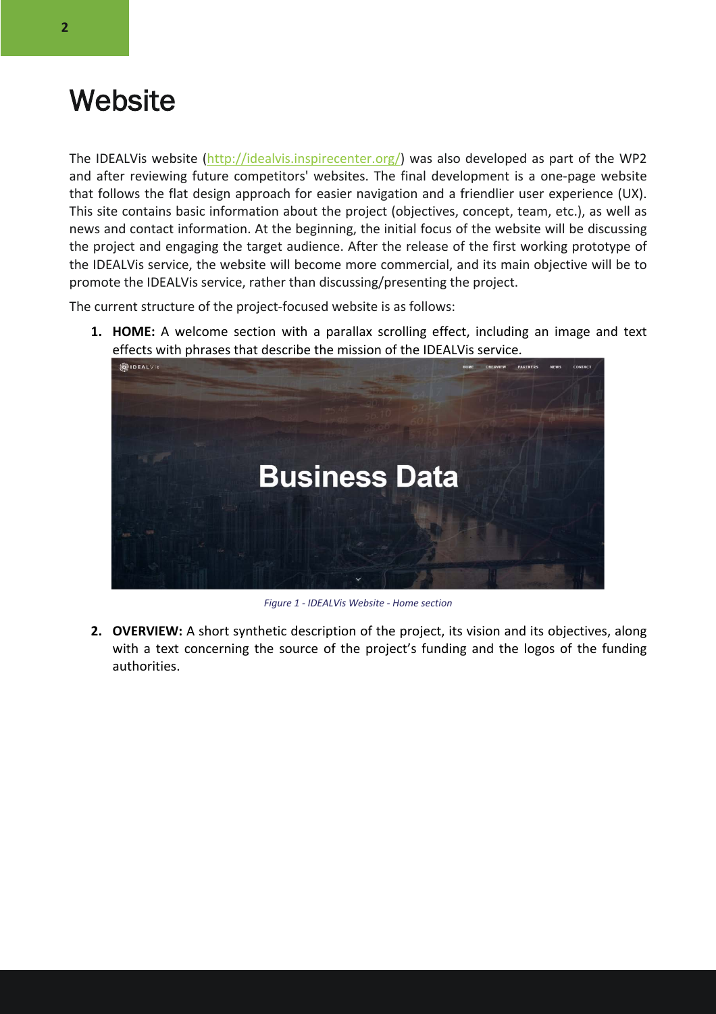### **Website**

The IDEALVis website (http://idealvis.inspirecenter.org/) was also developed as part of the WP2 and after reviewing future competitors' websites. The final development is a one-page website that follows the flat design approach for easier navigation and a friendlier user experience (UX). This site contains basic information about the project (objectives, concept, team, etc.), as well as news and contact information. At the beginning, the initial focus of the website will be discussing the project and engaging the target audience. After the release of the first working prototype of the IDEALVis service, the website will become more commercial, and its main objective will be to promote the IDEALVis service, rather than discussing/presenting the project.

The current structure of the project-focused website is as follows:

**1. HOME:** A welcome section with a parallax scrolling effect, including an image and text effects with phrases that describe the mission of the IDEALVis service.



*Figure 1 - IDEALVis Website - Home section*

**2. OVERVIEW:** A short synthetic description of the project, its vision and its objectives, along with a text concerning the source of the project's funding and the logos of the funding authorities.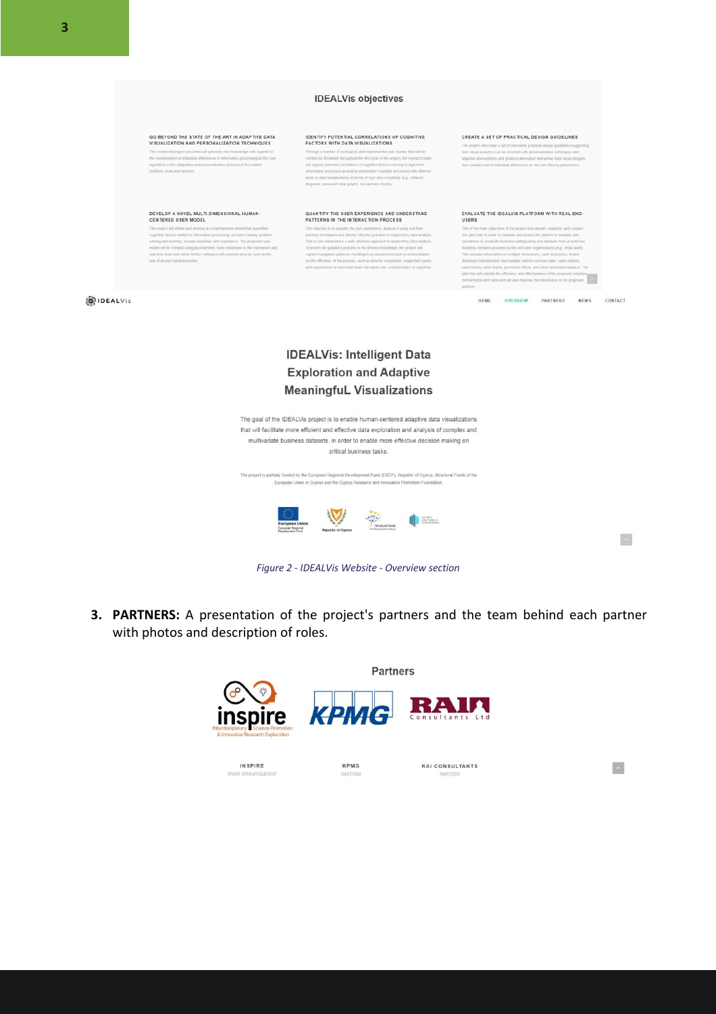#### **IDEALVis objectives**



#### **IDEALVis: Intelligent Data Exploration and Adaptive MeaningfuL Visualizations**

The goal of the IDEALVis project is to enable human-centered adaptive data visualizations that will facilitate more efficient and effective data exploration and analysis of complex and multivariate business datasets, in order to enable more effective decision making on critical business tasks. The project is partially funded by the European Regional Development Fund (ERDF), Republic of Cyprus, Structural Funds of the European Union in Cyprus and the Cyprus Research and Innovation Promotion Foundation  $\begin{picture}(120,140)(-0.000,0.000) \put(0,0){\line(1,0){15}} \put(15,0){\line(1,0){15}} \put(15,0){\line(1,0){15}} \put(15,0){\line(1,0){15}} \put(15,0){\line(1,0){15}} \put(15,0){\line(1,0){15}} \put(15,0){\line(1,0){15}} \put(15,0){\line(1,0){15}} \put(15,0){\line(1,0){15}} \put(15,0){\line(1,0){15}} \put(15,0){\line(1,0){$ 

 $\sim$ 

 $\sim$ 



**3. PARTNERS:** A presentation of the project's partners and the team behind each partner with photos and description of roles.

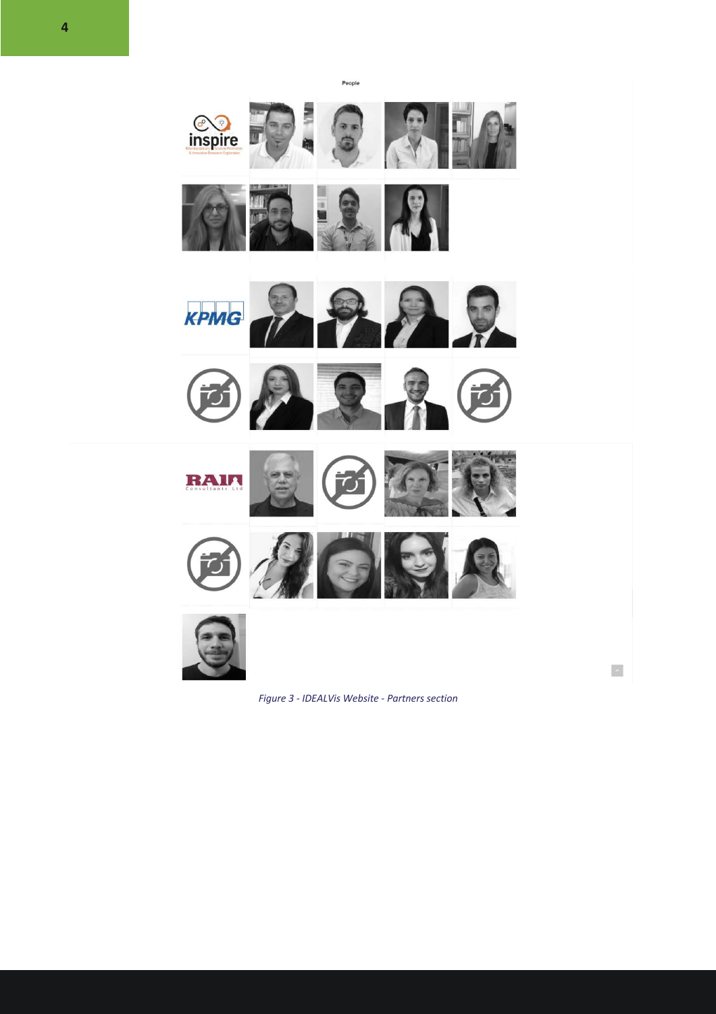**CO**<br>inspire KPMG  $\mathbf{p}$ 子 RAIL 西升区  $\left\vert \mathbf{x}\right\vert$ 

People

*Figure 3 - IDEALVis Website - Partners section*